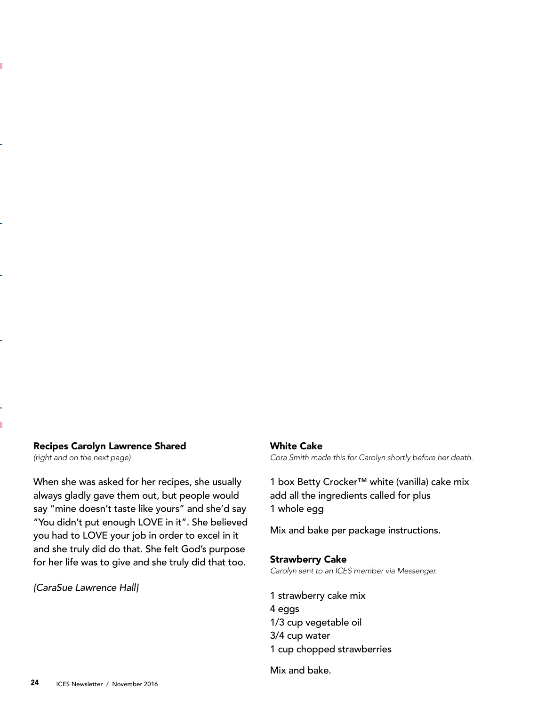## Recipes Carolyn Lawrence Shared

*(right and on the next page)*

ï

When she was asked for her recipes, she usually always gladly gave them out, but people would say "mine doesn't taste like yours" and she'd say "You didn't put enough LOVE in it". She believed you had to LOVE your job in order to excel in it and she truly did do that. She felt God's purpose for her life was to give and she truly did that too.

*[CaraSue Lawrence Hall]*

## White Cake

Cora Smith made this for Carolyn shortly before her death.

1 box Betty Crocker™ white (vanilla) cake mix add all the ingredients called for plus 1 whole egg

Mix and bake per package instructions.

## Strawberry Cake

Carolyn sent to an ICES member via Messenger.

1 strawberry cake mix 4 eggs 1/3 cup vegetable oil 3/4 cup water 1 cup chopped strawberries

Mix and bake.